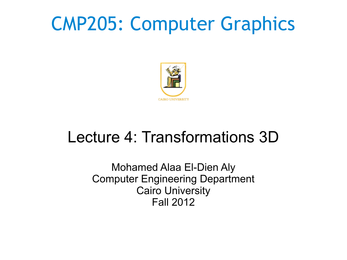# CMP205: Computer Graphics



### Lecture 4: Transformations 3D

Mohamed Alaa El-Dien Aly Computer Engineering Department Cairo University Fall 2012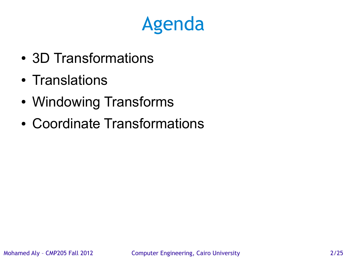# Agenda

- 3D Transformations
- Translations
- Windowing Transforms
- Coordinate Transformations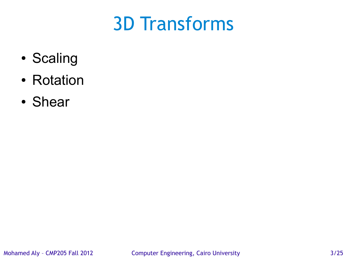# 3D Transforms

- Scaling
- Rotation
- Shear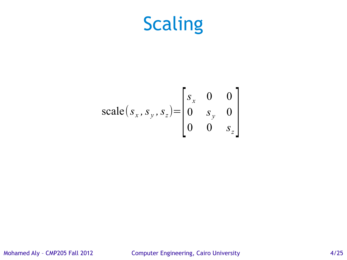## Scaling

scale
$$
(s_x, s_y, s_z)
$$
 = 
$$
\begin{bmatrix} s_x & 0 & 0 \\ 0 & s_y & 0 \\ 0 & 0 & s_z \end{bmatrix}
$$

Mohamed Aly - CMP205 Fall 2012 Computer Engineering, Cairo University **Allaminates** 4/25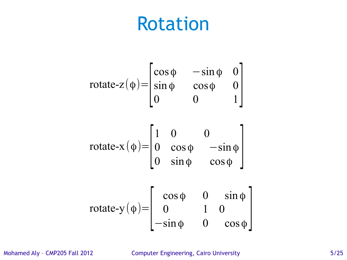### Rotation

rotate-z(
$$
\phi
$$
) = 
$$
\begin{bmatrix} \cos \phi & -\sin \phi & 0 \\ \sin \phi & \cos \phi & 0 \\ 0 & 0 & 1 \end{bmatrix}
$$
  
rotate-x( $\phi$ ) = 
$$
\begin{bmatrix} 1 & 0 & 0 \\ 0 & \cos \phi & -\sin \phi \\ 0 & \sin \phi & \cos \phi \end{bmatrix}
$$

 $\overline{0}$ 

$$
rotate-y(\phi) = \begin{bmatrix} cos\phi & 0 & sin\phi \\ 0 & 1 & 0 \\ -sin\phi & 0 & cos\phi \end{bmatrix}
$$

Mohamed Aly – CMP205 Fall 2012 Computer Engineering, Cairo University 5/25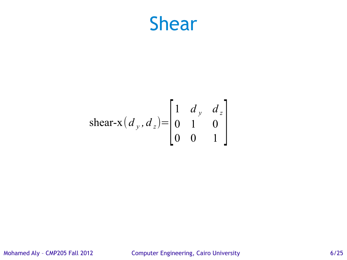### Shear

shear-x 
$$
(d_y, d_z)
$$
 = 
$$
\begin{bmatrix} 1 & d_y & d_z \\ 0 & 1 & 0 \\ 0 & 0 & 1 \end{bmatrix}
$$

Mohamed Aly - CMP205 Fall 2012 Computer Engineering, Cairo University 6/25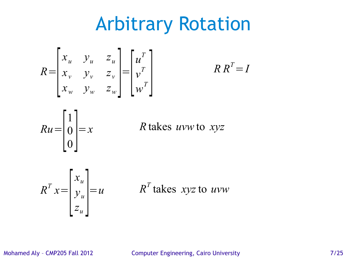## Arbitrary Rotation

$$
R = \begin{bmatrix} x_u & y_u & z_u \\ x_v & y_v & z_v \\ x_w & y_w & z_w \end{bmatrix} = \begin{bmatrix} u^T \\ v^T \\ w^T \end{bmatrix}
$$

$$
R R^T = I
$$



*R* takes *uvw* to *xyz*

$$
R^T x = \begin{bmatrix} x_u \\ y_u \\ z_u \end{bmatrix} = u
$$

 $= u$  *R<sup>T</sup>* takes *xyz* to *uvw* 

Mohamed Aly - CMP205 Fall 2012 Computer Engineering, Cairo University 7/25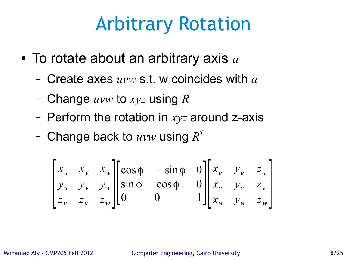# Arbitrary Rotation

- To rotate about an arbitrary axis *a*
	- Create axes *uvw* s.t. w coincides with *a*
	- Change *uvw* to *xyz* using *R*
	- Perform the rotation in *xyz* around z-axis
	- $-$  Change back to  $uvw$  using  $R^T$

$$
\begin{bmatrix} x_u & x_v & x_w \\ y_u & y_v & y_w \\ z_u & z_v & z_w \end{bmatrix} \begin{bmatrix} \cos \phi & -\sin \phi & 0 \\ \sin \phi & \cos \phi & 0 \\ 0 & 0 & 1 \end{bmatrix} \begin{bmatrix} x_u & y_u & z_u \\ x_v & y_v & z_v \\ x_w & y_w & z_w \end{bmatrix}
$$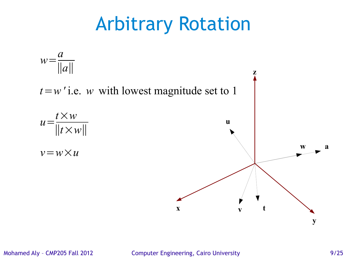## Arbitrary Rotation



Mohamed Aly - CMP205 Fall 2012 Computer Engineering, Cairo University 6/25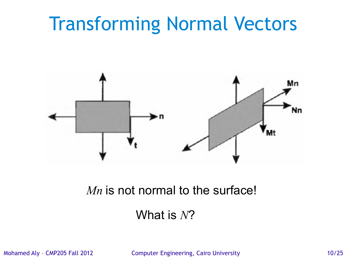# Transforming Normal Vectors



#### *Mn* is not normal to the surface!

#### What is *N*?

Mohamed Aly - CMP205 Fall 2012 Computer Engineering, Cairo University 10/25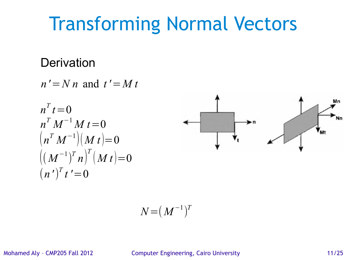# Transforming Normal Vectors

#### **Derivation**

 $n' = N n$  and  $t' = Mt$ 

$$
nT t = 0nT M-1 M t = 0(nT M-1)(M t) = 0((M-1)T n)T (M t) = 0(n')T t' = 0
$$



$$
N{=}(M^{-1})^T
$$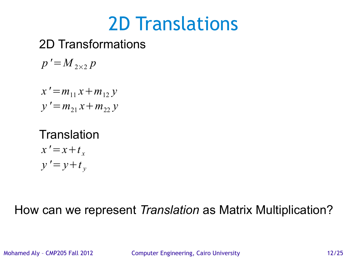# 2D Translations

### 2D Transformations

$$
p' = M_{2 \times 2} p
$$

$$
x' = m_{11}x + m_{12}y
$$
  

$$
y' = m_{21}x + m_{22}y
$$

### **Translation**  $x' = x + t_x$  $y' = y + t_y$

### How can we represent *Translation* as Matrix Multiplication?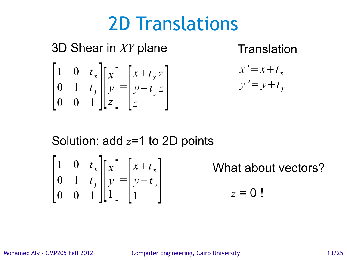# 2D Translations

### 3D Shear in XY plane Translation

$$
\begin{bmatrix} 1 & 0 & t_x \ 0 & 1 & t_y \ 0 & 0 & 1 \end{bmatrix} \begin{bmatrix} x \ y \ z \end{bmatrix} = \begin{bmatrix} x+t_x z \ y+t_y z \ z \end{bmatrix}
$$

$$
x' = x + t_x
$$
  

$$
y' = y + t_y
$$

Solution: add *z*=1 to 2D points

$$
\begin{bmatrix} 1 & 0 & t_x \ 0 & 1 & t_y \ 0 & 0 & 1 \end{bmatrix} \begin{bmatrix} x \\ y \\ 1 \end{bmatrix} = \begin{bmatrix} x+t_x \\ y+t_y \\ 1 \end{bmatrix}
$$

What about vectors?

 $z = 0!$ 

Mohamed Aly – CMP205 Fall 2012 Computer Engineering, Cairo University 13/25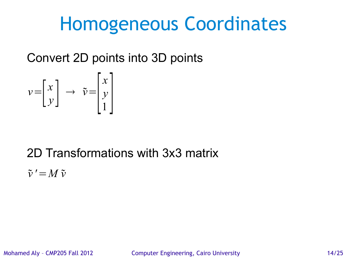## Homogeneous Coordinates

Convert 2D points into 3D points

$$
v = \begin{bmatrix} x \\ y \end{bmatrix} \rightarrow \tilde{v} = \begin{bmatrix} x \\ y \\ 1 \end{bmatrix}
$$

### 2D Transformations with 3x3 matrix

 $\tilde{v}' = M \tilde{v}$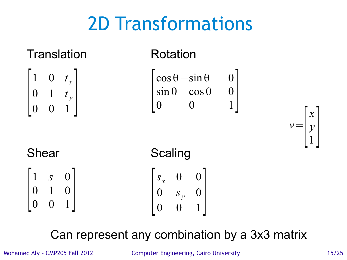# 2D Transformations



Can represent any combination by a 3x3 matrix

Mohamed Aly – CMP205 Fall 2012 Computer Engineering, Cairo University 15/25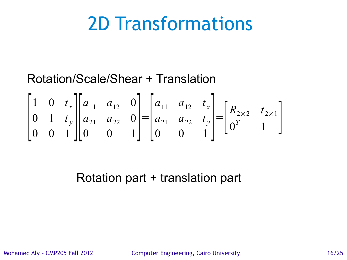# 2D Transformations

### Rotation/Scale/Shear + Translation

$$
\begin{bmatrix} 1 & 0 & t_x \ 0 & 1 & t_y \ 0 & 0 & 1 \end{bmatrix} \begin{bmatrix} a_{11} & a_{12} & 0 \ a_{21} & a_{22} & 0 \ 0 & 0 & 1 \end{bmatrix} = \begin{bmatrix} a_{11} & a_{12} & t_x \ a_{21} & a_{22} & t_y \ 0 & 0 & 1 \end{bmatrix} = \begin{bmatrix} R_{2 \times 2} & t_{2 \times 1} \ 0^T & 1 \end{bmatrix}
$$

Rotation part + translation part

Mohamed Aly – CMP205 Fall 2012 Computer Engineering, Cairo University 16/25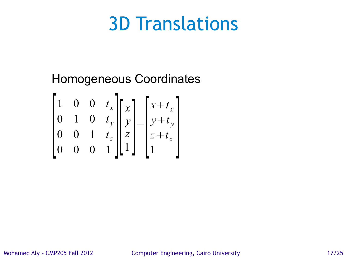# 3D Translations

### Homogeneous Coordinates

$$
\begin{bmatrix} 1 & 0 & 0 & t_x \ 0 & 1 & 0 & t_y \ 0 & 0 & 1 & t_z \ 0 & 0 & 0 & 1 \ \end{bmatrix} \begin{bmatrix} x \\ y \\ z \\ z \end{bmatrix} = \begin{bmatrix} x + t_x \\ y + t_y \\ z + t_z \\ 1 \end{bmatrix}
$$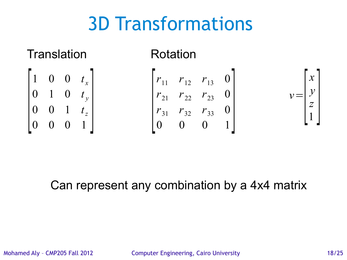# 3D Transformations



### Can represent any combination by a 4x4 matrix

Mohamed Aly – CMP205 Fall 2012 Computer Engineering, Cairo University 18/25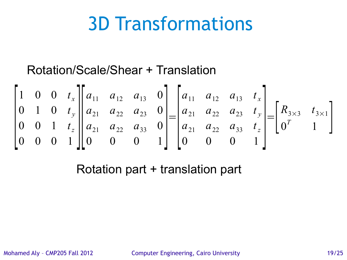# 3D Transformations

### Rotation/Scale/Shear + Translation

$$
\begin{bmatrix} 1 & 0 & 0 & t_x \ 0 & 1 & 0 & t_y \ 0 & 0 & 1 & t_z \ 0 & 0 & 0 & 1 \ \end{bmatrix} \begin{bmatrix} a_{11} & a_{12} & a_{13} & 0 \\ a_{21} & a_{22} & a_{23} & 0 \\ a_{21} & a_{22} & a_{33} & 0 \\ 0 & 0 & 0 & 1 \end{bmatrix} = \begin{bmatrix} a_{11} & a_{12} & a_{13} & t_x \\ a_{21} & a_{22} & a_{23} & t_y \\ a_{21} & a_{22} & a_{23} & t_z \\ 0 & 0 & 0 & 1 \end{bmatrix} = \begin{bmatrix} R_{3\times 3} & t_{3\times 1} \\ 0^T & 1 \end{bmatrix}
$$

Rotation part + translation part

Mohamed Aly – CMP205 Fall 2012 Computer Engineering, Cairo University 19/25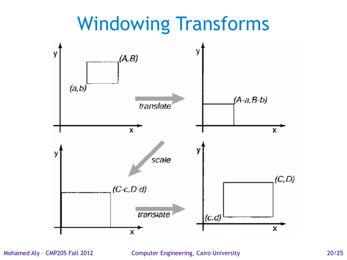# Windowing Transforms



Mohamed Aly – CMP205 Fall 2012 Computer Engineering, Cairo University 20/25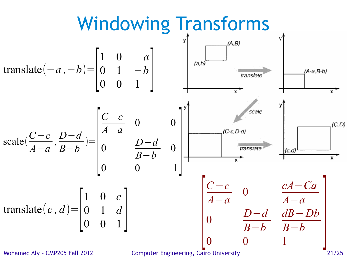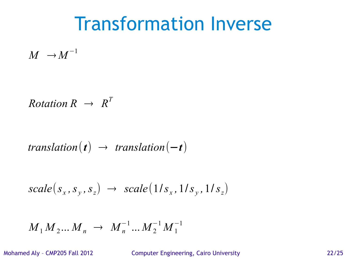## Transformation Inverse

 $M \rightarrow M^{-1}$ 

$$
Rotation R \rightarrow R^T
$$

$$
translation(\mathbf{t}) \rightarrow translation(-\mathbf{t})
$$

$$
scale(s_x, s_y, s_z) \rightarrow scale(1/s_x, 1/s_y, 1/s_z)
$$

$$
M_1 M_2 ... M_n \rightarrow M_n^{-1} ... M_2^{-1} M_1^{-1}
$$

Mohamed Aly – CMP205 Fall 2012 Computer Engineering, Cairo University 22/25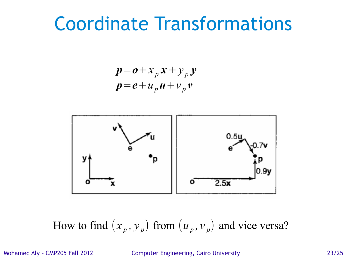## Coordinate Transformations

$$
p = o + xp x + yp y
$$
  

$$
p = e + up u + vp v
$$



How to find  $(x_p, y_p)$  from  $(u_p, v_p)$  and vice versa?

Mohamed Aly – CMP205 Fall 2012 Computer Engineering, Cairo University 23/25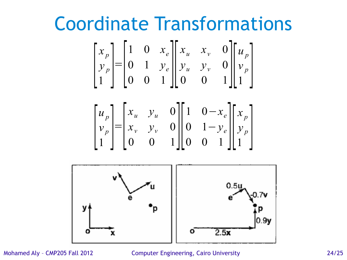## Coordinate Transformations



Mohamed Aly – CMP205 Fall 2012 Computer Engineering, Cairo University 24/25